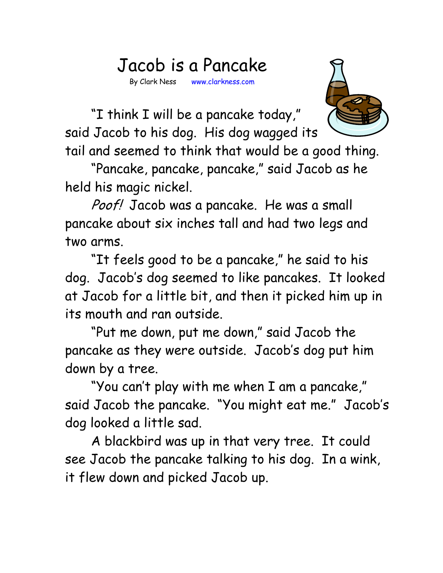## Jacob is a Pancake

By Clark Ness www.clarkness.com



 "I think I will be a pancake today," said Jacob to his dog. His dog wagged its

tail and seemed to think that would be a good thing.

 "Pancake, pancake, pancake," said Jacob as he held his magic nickel.

Poof! Jacob was a pancake. He was a small pancake about six inches tall and had two legs and two arms.

 "It feels good to be a pancake," he said to his dog. Jacob's dog seemed to like pancakes. It looked at Jacob for a little bit, and then it picked him up in its mouth and ran outside.

 "Put me down, put me down," said Jacob the pancake as they were outside. Jacob's dog put him down by a tree.

 "You can't play with me when I am a pancake," said Jacob the pancake. "You might eat me." Jacob's dog looked a little sad.

 A blackbird was up in that very tree. It could see Jacob the pancake talking to his dog. In a wink, it flew down and picked Jacob up.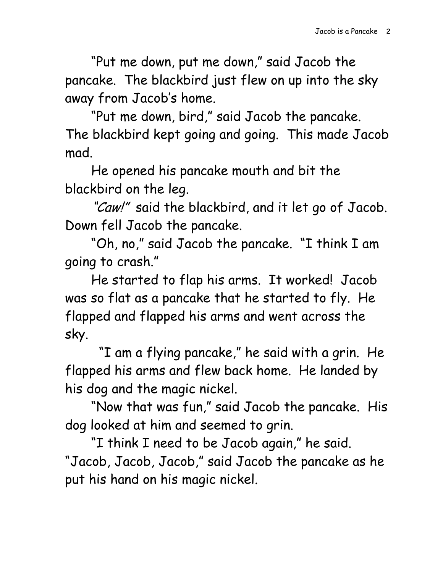"Put me down, put me down," said Jacob the pancake. The blackbird just flew on up into the sky away from Jacob's home.

 "Put me down, bird," said Jacob the pancake. The blackbird kept going and going. This made Jacob mad.

 He opened his pancake mouth and bit the blackbird on the leg.

"Caw!" said the blackbird, and it let go of Jacob. Down fell Jacob the pancake.

 "Oh, no," said Jacob the pancake. "I think I am going to crash."

He started to flap his arms. It worked! Jacob was so flat as a pancake that he started to fly. He flapped and flapped his arms and went across the sky.

 "I am a flying pancake," he said with a grin. He flapped his arms and flew back home. He landed by his dog and the magic nickel.

 "Now that was fun," said Jacob the pancake. His dog looked at him and seemed to grin.

 "I think I need to be Jacob again," he said. "Jacob, Jacob, Jacob," said Jacob the pancake as he put his hand on his magic nickel.